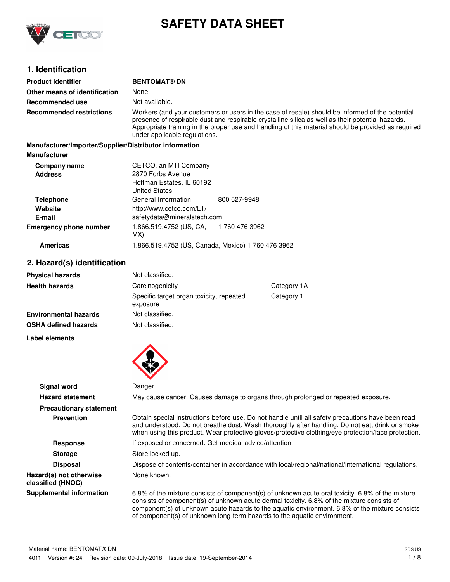

# **SAFETY DATA SHEET**

## **1. Identification**

| <b>Product identifier</b>                              | <b>BENTOMAT® DN</b>                                                                                                                                                                                                                                                                                                                          |                       |  |
|--------------------------------------------------------|----------------------------------------------------------------------------------------------------------------------------------------------------------------------------------------------------------------------------------------------------------------------------------------------------------------------------------------------|-----------------------|--|
|                                                        |                                                                                                                                                                                                                                                                                                                                              |                       |  |
| Other means of identification                          | None.                                                                                                                                                                                                                                                                                                                                        |                       |  |
| <b>Recommended use</b>                                 | Not available.                                                                                                                                                                                                                                                                                                                               |                       |  |
| <b>Recommended restrictions</b>                        | Workers (and your customers or users in the case of resale) should be informed of the potential<br>presence of respirable dust and respirable crystalline silica as well as their potential hazards.<br>Appropriate training in the proper use and handling of this material should be provided as required<br>under applicable regulations. |                       |  |
| Manufacturer/Importer/Supplier/Distributor information |                                                                                                                                                                                                                                                                                                                                              |                       |  |
| <b>Manufacturer</b>                                    |                                                                                                                                                                                                                                                                                                                                              |                       |  |
| Company name                                           | CETCO, an MTI Company                                                                                                                                                                                                                                                                                                                        |                       |  |
| <b>Address</b>                                         | 2870 Forbs Avenue                                                                                                                                                                                                                                                                                                                            |                       |  |
|                                                        | Hoffman Estates, IL 60192                                                                                                                                                                                                                                                                                                                    |                       |  |
|                                                        | <b>United States</b>                                                                                                                                                                                                                                                                                                                         |                       |  |
| <b>Telephone</b>                                       | General Information                                                                                                                                                                                                                                                                                                                          | 800 527-9948          |  |
| Website                                                | http://www.cetco.com/LT/                                                                                                                                                                                                                                                                                                                     |                       |  |
| E-mail                                                 | safetydata@mineralstech.com                                                                                                                                                                                                                                                                                                                  |                       |  |
| <b>Emergency phone number</b>                          | 1.866.519.4752 (US, CA,<br>MX)                                                                                                                                                                                                                                                                                                               | 1760 476 3962         |  |
| <b>Americas</b>                                        | 1.866.519.4752 (US, Canada, Mexico) 1 760 476 3962                                                                                                                                                                                                                                                                                           |                       |  |
| 2. Hazard(s) identification                            |                                                                                                                                                                                                                                                                                                                                              |                       |  |
| <b>Physical hazards</b>                                | Not classified.                                                                                                                                                                                                                                                                                                                              |                       |  |
| المقامس والمستقاط والقارم والراز                       | Carolinaganiaitu                                                                                                                                                                                                                                                                                                                             | $Cother + Cother + A$ |  |

| <b>Physical hazards</b>      | Not classified.                                      |             |
|------------------------------|------------------------------------------------------|-------------|
| <b>Health hazards</b>        | Carcinogenicity                                      | Category 1A |
|                              | Specific target organ toxicity, repeated<br>exposure | Category 1  |
| <b>Environmental hazards</b> | Not classified.                                      |             |
| <b>OSHA defined hazards</b>  | Not classified.                                      |             |
|                              |                                                      |             |

**Label elements**



| <b>Signal word</b>                           | Danger                                                                                                                                                                                                                                                                                                                                                                       |
|----------------------------------------------|------------------------------------------------------------------------------------------------------------------------------------------------------------------------------------------------------------------------------------------------------------------------------------------------------------------------------------------------------------------------------|
| <b>Hazard statement</b>                      | May cause cancer. Causes damage to organs through prolonged or repeated exposure.                                                                                                                                                                                                                                                                                            |
| <b>Precautionary statement</b>               |                                                                                                                                                                                                                                                                                                                                                                              |
| <b>Prevention</b>                            | Obtain special instructions before use. Do not handle until all safety precautions have been read<br>and understood. Do not breathe dust. Wash thoroughly after handling. Do not eat, drink or smoke<br>when using this product. Wear protective gloves/protective clothing/eye protection/face protection.                                                                  |
| <b>Response</b>                              | If exposed or concerned: Get medical advice/attention.                                                                                                                                                                                                                                                                                                                       |
| <b>Storage</b>                               | Store locked up.                                                                                                                                                                                                                                                                                                                                                             |
| <b>Disposal</b>                              | Dispose of contents/container in accordance with local/regional/national/international regulations.                                                                                                                                                                                                                                                                          |
| Hazard(s) not otherwise<br>classified (HNOC) | None known.                                                                                                                                                                                                                                                                                                                                                                  |
| <b>Supplemental information</b>              | 6.8% of the mixture consists of component(s) of unknown acute oral toxicity. 6.8% of the mixture<br>consists of component(s) of unknown acute dermal toxicity. 6.8% of the mixture consists of<br>component(s) of unknown acute hazards to the aquatic environment. 6.8% of the mixture consists<br>of component(s) of unknown long-term hazards to the aquatic environment. |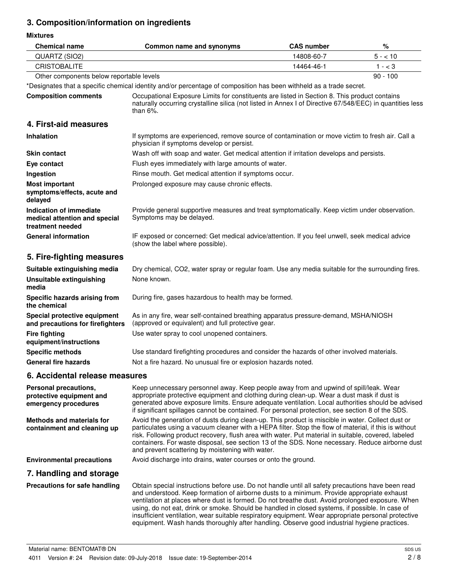## **3. Composition/information on ingredients**

**Mixtures**

| <b>Chemical name</b>                                                         | Common name and synonyms                                                                                                                                                                                                                                                                                                                                                                                                                                                                                                                                                                                    | <b>CAS number</b> | $\%$       |
|------------------------------------------------------------------------------|-------------------------------------------------------------------------------------------------------------------------------------------------------------------------------------------------------------------------------------------------------------------------------------------------------------------------------------------------------------------------------------------------------------------------------------------------------------------------------------------------------------------------------------------------------------------------------------------------------------|-------------------|------------|
| QUARTZ (SIO2)                                                                |                                                                                                                                                                                                                                                                                                                                                                                                                                                                                                                                                                                                             | 14808-60-7        | $5 - 10$   |
| <b>CRISTOBALITE</b>                                                          |                                                                                                                                                                                                                                                                                                                                                                                                                                                                                                                                                                                                             | 14464-46-1        | $1 - < 3$  |
| Other components below reportable levels                                     |                                                                                                                                                                                                                                                                                                                                                                                                                                                                                                                                                                                                             |                   | $90 - 100$ |
|                                                                              | *Designates that a specific chemical identity and/or percentage of composition has been withheld as a trade secret.                                                                                                                                                                                                                                                                                                                                                                                                                                                                                         |                   |            |
| <b>Composition comments</b>                                                  | Occupational Exposure Limits for constituents are listed in Section 8. This product contains<br>naturally occurring crystalline silica (not listed in Annex I of Directive 67/548/EEC) in quantities less<br>than $6\%$ .                                                                                                                                                                                                                                                                                                                                                                                   |                   |            |
| 4. First-aid measures                                                        |                                                                                                                                                                                                                                                                                                                                                                                                                                                                                                                                                                                                             |                   |            |
| Inhalation                                                                   | If symptoms are experienced, remove source of contamination or move victim to fresh air. Call a<br>physician if symptoms develop or persist.                                                                                                                                                                                                                                                                                                                                                                                                                                                                |                   |            |
| <b>Skin contact</b>                                                          | Wash off with soap and water. Get medical attention if irritation develops and persists.                                                                                                                                                                                                                                                                                                                                                                                                                                                                                                                    |                   |            |
| Eye contact                                                                  | Flush eyes immediately with large amounts of water.                                                                                                                                                                                                                                                                                                                                                                                                                                                                                                                                                         |                   |            |
| Ingestion                                                                    | Rinse mouth. Get medical attention if symptoms occur.                                                                                                                                                                                                                                                                                                                                                                                                                                                                                                                                                       |                   |            |
| <b>Most important</b><br>symptoms/effects, acute and<br>delayed              | Prolonged exposure may cause chronic effects.                                                                                                                                                                                                                                                                                                                                                                                                                                                                                                                                                               |                   |            |
| Indication of immediate<br>medical attention and special<br>treatment needed | Provide general supportive measures and treat symptomatically. Keep victim under observation.<br>Symptoms may be delayed.                                                                                                                                                                                                                                                                                                                                                                                                                                                                                   |                   |            |
| <b>General information</b>                                                   | IF exposed or concerned: Get medical advice/attention. If you feel unwell, seek medical advice<br>(show the label where possible).                                                                                                                                                                                                                                                                                                                                                                                                                                                                          |                   |            |
| 5. Fire-fighting measures                                                    |                                                                                                                                                                                                                                                                                                                                                                                                                                                                                                                                                                                                             |                   |            |
| Suitable extinguishing media                                                 | Dry chemical, CO2, water spray or regular foam. Use any media suitable for the surrounding fires.                                                                                                                                                                                                                                                                                                                                                                                                                                                                                                           |                   |            |
| <b>Unsuitable extinguishing</b><br>media                                     | None known.                                                                                                                                                                                                                                                                                                                                                                                                                                                                                                                                                                                                 |                   |            |
| Specific hazards arising from<br>the chemical                                | During fire, gases hazardous to health may be formed.                                                                                                                                                                                                                                                                                                                                                                                                                                                                                                                                                       |                   |            |
| Special protective equipment<br>and precautions for firefighters             | As in any fire, wear self-contained breathing apparatus pressure-demand, MSHA/NIOSH<br>(approved or equivalent) and full protective gear.                                                                                                                                                                                                                                                                                                                                                                                                                                                                   |                   |            |
| <b>Fire fighting</b><br>equipment/instructions                               | Use water spray to cool unopened containers.                                                                                                                                                                                                                                                                                                                                                                                                                                                                                                                                                                |                   |            |
| <b>Specific methods</b>                                                      | Use standard firefighting procedures and consider the hazards of other involved materials.                                                                                                                                                                                                                                                                                                                                                                                                                                                                                                                  |                   |            |
| <b>General fire hazards</b>                                                  | Not a fire hazard. No unusual fire or explosion hazards noted.                                                                                                                                                                                                                                                                                                                                                                                                                                                                                                                                              |                   |            |
| 6. Accidental release measures                                               |                                                                                                                                                                                                                                                                                                                                                                                                                                                                                                                                                                                                             |                   |            |
| Personal precautions,<br>protective equipment and<br>emergency procedures    | Keep unnecessary personnel away. Keep people away from and upwind of spill/leak. Wear<br>appropriate protective equipment and clothing during clean-up. Wear a dust mask if dust is<br>generated above exposure limits. Ensure adequate ventilation. Local authorities should be advised<br>if significant spillages cannot be contained. For personal protection, see section 8 of the SDS.                                                                                                                                                                                                                |                   |            |
| <b>Methods and materials for</b><br>containment and cleaning up              | Avoid the generation of dusts during clean-up. This product is miscible in water. Collect dust or<br>particulates using a vacuum cleaner with a HEPA filter. Stop the flow of material, if this is without<br>risk. Following product recovery, flush area with water. Put material in suitable, covered, labeled<br>containers. For waste disposal, see section 13 of the SDS. None necessary. Reduce airborne dust<br>and prevent scattering by moistening with water.                                                                                                                                    |                   |            |
| <b>Environmental precautions</b>                                             | Avoid discharge into drains, water courses or onto the ground.                                                                                                                                                                                                                                                                                                                                                                                                                                                                                                                                              |                   |            |
| 7. Handling and storage                                                      |                                                                                                                                                                                                                                                                                                                                                                                                                                                                                                                                                                                                             |                   |            |
| Precautions for safe handling                                                | Obtain special instructions before use. Do not handle until all safety precautions have been read<br>and understood. Keep formation of airborne dusts to a minimum. Provide appropriate exhaust<br>ventilation at places where dust is formed. Do not breathe dust. Avoid prolonged exposure. When<br>using, do not eat, drink or smoke. Should be handled in closed systems, if possible. In case of<br>insufficient ventilation, wear suitable respiratory equipment. Wear appropriate personal protective<br>equipment. Wash hands thoroughly after handling. Observe good industrial hygiene practices. |                   |            |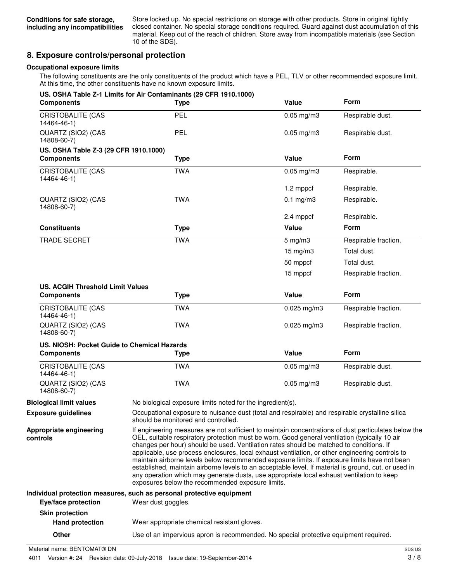Store locked up. No special restrictions on storage with other products. Store in original tightly closed container. No special storage conditions required. Guard against dust accumulation of this material. Keep out of the reach of children. Store away from incompatible materials (see Section 10 of the SDS).

### **8. Exposure controls/personal protection**

#### **Occupational exposure limits**

The following constituents are the only constituents of the product which have a PEL, TLV or other recommended exposure limit. At this time, the other constituents have no known exposure limits.

| <b>Components</b>                           | US. OSHA Table Z-1 Limits for Air Contaminants (29 CFR 1910.1000)<br><b>Type</b>                                                       | Value                                                                                                                                                                                                                                                                                                                                                                                                                                                                                                                                                                                                                                                                                                                                                        | <b>Form</b>          |
|---------------------------------------------|----------------------------------------------------------------------------------------------------------------------------------------|--------------------------------------------------------------------------------------------------------------------------------------------------------------------------------------------------------------------------------------------------------------------------------------------------------------------------------------------------------------------------------------------------------------------------------------------------------------------------------------------------------------------------------------------------------------------------------------------------------------------------------------------------------------------------------------------------------------------------------------------------------------|----------------------|
| <b>CRISTOBALITE (CAS</b><br>14464-46-1)     | <b>PEL</b>                                                                                                                             | $0.05$ mg/m $3$                                                                                                                                                                                                                                                                                                                                                                                                                                                                                                                                                                                                                                                                                                                                              | Respirable dust.     |
| QUARTZ (SIO2) (CAS<br>14808-60-7)           | <b>PEL</b>                                                                                                                             | $0.05$ mg/m $3$                                                                                                                                                                                                                                                                                                                                                                                                                                                                                                                                                                                                                                                                                                                                              | Respirable dust.     |
| US. OSHA Table Z-3 (29 CFR 1910.1000)       |                                                                                                                                        |                                                                                                                                                                                                                                                                                                                                                                                                                                                                                                                                                                                                                                                                                                                                                              |                      |
| <b>Components</b>                           | <b>Type</b>                                                                                                                            | Value                                                                                                                                                                                                                                                                                                                                                                                                                                                                                                                                                                                                                                                                                                                                                        | <b>Form</b>          |
| <b>CRISTOBALITE (CAS</b><br>14464-46-1)     | <b>TWA</b>                                                                                                                             | $0.05$ mg/m $3$                                                                                                                                                                                                                                                                                                                                                                                                                                                                                                                                                                                                                                                                                                                                              | Respirable.          |
|                                             |                                                                                                                                        | 1.2 mppcf                                                                                                                                                                                                                                                                                                                                                                                                                                                                                                                                                                                                                                                                                                                                                    | Respirable.          |
| QUARTZ (SIO2) (CAS<br>14808-60-7)           | <b>TWA</b>                                                                                                                             | $0.1$ mg/m $3$                                                                                                                                                                                                                                                                                                                                                                                                                                                                                                                                                                                                                                                                                                                                               | Respirable.          |
|                                             |                                                                                                                                        | 2.4 mppcf                                                                                                                                                                                                                                                                                                                                                                                                                                                                                                                                                                                                                                                                                                                                                    | Respirable.          |
| <b>Constituents</b>                         | <b>Type</b>                                                                                                                            | Value                                                                                                                                                                                                                                                                                                                                                                                                                                                                                                                                                                                                                                                                                                                                                        | <b>Form</b>          |
| <b>TRADE SECRET</b>                         | <b>TWA</b>                                                                                                                             | $5 \text{ mg/m}$ 3                                                                                                                                                                                                                                                                                                                                                                                                                                                                                                                                                                                                                                                                                                                                           | Respirable fraction. |
|                                             |                                                                                                                                        | 15 mg/m3                                                                                                                                                                                                                                                                                                                                                                                                                                                                                                                                                                                                                                                                                                                                                     | Total dust.          |
|                                             |                                                                                                                                        | 50 mppcf                                                                                                                                                                                                                                                                                                                                                                                                                                                                                                                                                                                                                                                                                                                                                     | Total dust.          |
|                                             |                                                                                                                                        | 15 mppcf                                                                                                                                                                                                                                                                                                                                                                                                                                                                                                                                                                                                                                                                                                                                                     | Respirable fraction. |
| <b>US. ACGIH Threshold Limit Values</b>     |                                                                                                                                        |                                                                                                                                                                                                                                                                                                                                                                                                                                                                                                                                                                                                                                                                                                                                                              |                      |
| <b>Components</b>                           | <b>Type</b>                                                                                                                            | Value                                                                                                                                                                                                                                                                                                                                                                                                                                                                                                                                                                                                                                                                                                                                                        | Form                 |
| <b>CRISTOBALITE (CAS</b><br>14464-46-1)     | <b>TWA</b>                                                                                                                             | $0.025$ mg/m3                                                                                                                                                                                                                                                                                                                                                                                                                                                                                                                                                                                                                                                                                                                                                | Respirable fraction. |
| QUARTZ (SIO2) (CAS<br>14808-60-7)           | <b>TWA</b>                                                                                                                             | $0.025$ mg/m3                                                                                                                                                                                                                                                                                                                                                                                                                                                                                                                                                                                                                                                                                                                                                | Respirable fraction. |
| US. NIOSH: Pocket Guide to Chemical Hazards |                                                                                                                                        |                                                                                                                                                                                                                                                                                                                                                                                                                                                                                                                                                                                                                                                                                                                                                              |                      |
| <b>Components</b>                           | <b>Type</b>                                                                                                                            | Value                                                                                                                                                                                                                                                                                                                                                                                                                                                                                                                                                                                                                                                                                                                                                        | Form                 |
| <b>CRISTOBALITE (CAS</b><br>14464-46-1)     | <b>TWA</b>                                                                                                                             | $0.05$ mg/m3                                                                                                                                                                                                                                                                                                                                                                                                                                                                                                                                                                                                                                                                                                                                                 | Respirable dust.     |
| QUARTZ (SIO2) (CAS<br>14808-60-7)           | <b>TWA</b>                                                                                                                             | $0.05$ mg/m $3$                                                                                                                                                                                                                                                                                                                                                                                                                                                                                                                                                                                                                                                                                                                                              | Respirable dust.     |
| <b>Biological limit values</b>              | No biological exposure limits noted for the ingredient(s).                                                                             |                                                                                                                                                                                                                                                                                                                                                                                                                                                                                                                                                                                                                                                                                                                                                              |                      |
| <b>Exposure guidelines</b>                  | Occupational exposure to nuisance dust (total and respirable) and respirable crystalline silica<br>should be monitored and controlled. |                                                                                                                                                                                                                                                                                                                                                                                                                                                                                                                                                                                                                                                                                                                                                              |                      |
| Appropriate engineering<br>controls         |                                                                                                                                        | If engineering measures are not sufficient to maintain concentrations of dust particulates below the<br>OEL, suitable respiratory protection must be worn. Good general ventilation (typically 10 air<br>changes per hour) should be used. Ventilation rates should be matched to conditions. If<br>applicable, use process enclosures, local exhaust ventilation, or other engineering controls to<br>maintain airborne levels below recommended exposure limits. If exposure limits have not been<br>established, maintain airborne levels to an acceptable level. If material is ground, cut, or used in<br>any operation which may generate dusts, use appropriate local exhaust ventilation to keep<br>exposures below the recommended exposure limits. |                      |
|                                             | Individual protection measures, such as personal protective equipment                                                                  |                                                                                                                                                                                                                                                                                                                                                                                                                                                                                                                                                                                                                                                                                                                                                              |                      |
| Eye/face protection                         | Wear dust goggles.                                                                                                                     |                                                                                                                                                                                                                                                                                                                                                                                                                                                                                                                                                                                                                                                                                                                                                              |                      |
| <b>Skin protection</b>                      |                                                                                                                                        |                                                                                                                                                                                                                                                                                                                                                                                                                                                                                                                                                                                                                                                                                                                                                              |                      |
| <b>Hand protection</b>                      | Wear appropriate chemical resistant gloves.                                                                                            |                                                                                                                                                                                                                                                                                                                                                                                                                                                                                                                                                                                                                                                                                                                                                              |                      |

**Other** Use of an impervious apron is recommended. No special protective equipment required.

Material name: BENTOMAT® DN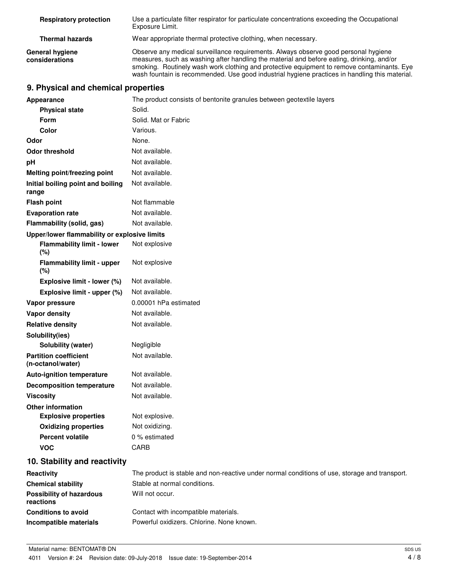| <b>Respiratory protection</b>     | Use a particulate filter respirator for particulate concentrations exceeding the Occupational<br>Exposure Limit.                                                                                                                                                                                                                                                                 |
|-----------------------------------|----------------------------------------------------------------------------------------------------------------------------------------------------------------------------------------------------------------------------------------------------------------------------------------------------------------------------------------------------------------------------------|
| <b>Thermal hazards</b>            | Wear appropriate thermal protective clothing, when necessary.                                                                                                                                                                                                                                                                                                                    |
| General hygiene<br>considerations | Observe any medical surveillance requirements. Always observe good personal hygiene<br>measures, such as washing after handling the material and before eating, drinking, and/or<br>smoking. Routinely wash work clothing and protective equipment to remove contaminants. Eye<br>wash fountain is recommended. Use good industrial hygiene practices in handling this material. |

## **9. Physical and chemical properties**

| Appearance                                        | The product consists of bentonite granules between geotextile layers                          |
|---------------------------------------------------|-----------------------------------------------------------------------------------------------|
| <b>Physical state</b>                             | Solid.                                                                                        |
| Form                                              | Solid. Mat or Fabric                                                                          |
| <b>Color</b>                                      | Various.                                                                                      |
| Odor                                              | None.                                                                                         |
| <b>Odor threshold</b>                             | Not available.                                                                                |
| рH                                                | Not available.                                                                                |
| Melting point/freezing point                      | Not available.                                                                                |
| Initial boiling point and boiling<br>range        | Not available.                                                                                |
| <b>Flash point</b>                                | Not flammable                                                                                 |
| <b>Evaporation rate</b>                           | Not available.                                                                                |
| Flammability (solid, gas)                         | Not available.                                                                                |
| Upper/lower flammability or explosive limits      |                                                                                               |
| <b>Flammability limit - lower</b><br>(%)          | Not explosive                                                                                 |
| <b>Flammability limit - upper</b><br>$(\%)$       | Not explosive                                                                                 |
| Explosive limit - lower (%)                       | Not available.                                                                                |
| Explosive limit - upper (%)                       | Not available.                                                                                |
| Vapor pressure                                    | 0.00001 hPa estimated                                                                         |
| <b>Vapor density</b>                              | Not available.                                                                                |
| <b>Relative density</b>                           | Not available.                                                                                |
| Solubility(ies)                                   |                                                                                               |
| <b>Solubility (water)</b>                         | Negligible                                                                                    |
| <b>Partition coefficient</b><br>(n-octanol/water) | Not available.                                                                                |
| <b>Auto-ignition temperature</b>                  | Not available.                                                                                |
| <b>Decomposition temperature</b>                  | Not available.                                                                                |
| <b>Viscosity</b>                                  | Not available.                                                                                |
| <b>Other information</b>                          |                                                                                               |
| <b>Explosive properties</b>                       | Not explosive.                                                                                |
| <b>Oxidizing properties</b>                       | Not oxidizing.                                                                                |
| <b>Percent volatile</b>                           | 0 % estimated                                                                                 |
| <b>VOC</b>                                        | <b>CARB</b>                                                                                   |
| 10. Stability and reactivity                      |                                                                                               |
| Reactivity                                        | The product is stable and non-reactive under normal conditions of use, storage and transport. |
| <b>Chemical stability</b>                         | Stable at normal conditions.                                                                  |
| <b>Possibility of hazardous</b><br>reactions      | Will not occur.                                                                               |
| <b>Conditions to avoid</b>                        | Contact with incompatible materials.                                                          |
| Incompatible materials                            | Powerful oxidizers. Chlorine. None known.                                                     |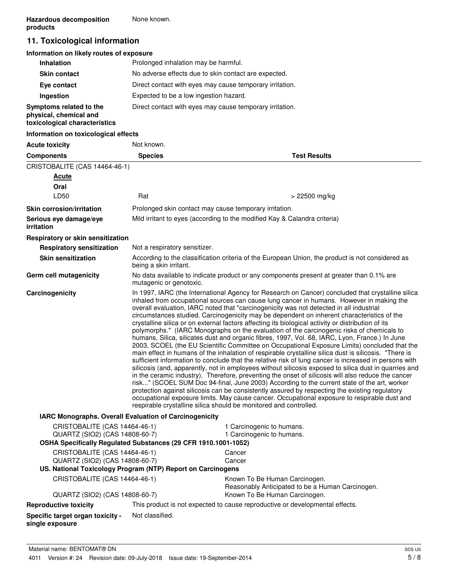## **11. Toxicological information**

#### **Information on likely routes of exposure**

| <b>Inhalation</b>                                                                  | Prolonged inhalation may be harmful.                     |
|------------------------------------------------------------------------------------|----------------------------------------------------------|
| <b>Skin contact</b>                                                                | No adverse effects due to skin contact are expected.     |
| Eye contact                                                                        | Direct contact with eyes may cause temporary irritation. |
| Ingestion                                                                          | Expected to be a low ingestion hazard.                   |
| Symptoms related to the<br>physical, chemical and<br>toxicological characteristics | Direct contact with eyes may cause temporary irritation. |

#### **Information on toxicological effects**

| <b>Acute toxicity</b>                                                                                                             | Not known.                    |                                                                                                                                                                                                                                                                                                                                                                                                                                                                                                                                                                                                                                                                                                                                                                                                                                                                                                                                                                                                                                                                                                                                                                                                                                                                                                                                                                                                                                                                                                                                                                                                    |
|-----------------------------------------------------------------------------------------------------------------------------------|-------------------------------|----------------------------------------------------------------------------------------------------------------------------------------------------------------------------------------------------------------------------------------------------------------------------------------------------------------------------------------------------------------------------------------------------------------------------------------------------------------------------------------------------------------------------------------------------------------------------------------------------------------------------------------------------------------------------------------------------------------------------------------------------------------------------------------------------------------------------------------------------------------------------------------------------------------------------------------------------------------------------------------------------------------------------------------------------------------------------------------------------------------------------------------------------------------------------------------------------------------------------------------------------------------------------------------------------------------------------------------------------------------------------------------------------------------------------------------------------------------------------------------------------------------------------------------------------------------------------------------------------|
| <b>Components</b>                                                                                                                 | <b>Species</b>                | <b>Test Results</b>                                                                                                                                                                                                                                                                                                                                                                                                                                                                                                                                                                                                                                                                                                                                                                                                                                                                                                                                                                                                                                                                                                                                                                                                                                                                                                                                                                                                                                                                                                                                                                                |
| CRISTOBALITE (CAS 14464-46-1)                                                                                                     |                               |                                                                                                                                                                                                                                                                                                                                                                                                                                                                                                                                                                                                                                                                                                                                                                                                                                                                                                                                                                                                                                                                                                                                                                                                                                                                                                                                                                                                                                                                                                                                                                                                    |
| <b>Acute</b>                                                                                                                      |                               |                                                                                                                                                                                                                                                                                                                                                                                                                                                                                                                                                                                                                                                                                                                                                                                                                                                                                                                                                                                                                                                                                                                                                                                                                                                                                                                                                                                                                                                                                                                                                                                                    |
| Oral                                                                                                                              |                               |                                                                                                                                                                                                                                                                                                                                                                                                                                                                                                                                                                                                                                                                                                                                                                                                                                                                                                                                                                                                                                                                                                                                                                                                                                                                                                                                                                                                                                                                                                                                                                                                    |
| LD50                                                                                                                              | Rat                           | > 22500 mg/kg                                                                                                                                                                                                                                                                                                                                                                                                                                                                                                                                                                                                                                                                                                                                                                                                                                                                                                                                                                                                                                                                                                                                                                                                                                                                                                                                                                                                                                                                                                                                                                                      |
| <b>Skin corrosion/irritation</b>                                                                                                  |                               | Prolonged skin contact may cause temporary irritation.                                                                                                                                                                                                                                                                                                                                                                                                                                                                                                                                                                                                                                                                                                                                                                                                                                                                                                                                                                                                                                                                                                                                                                                                                                                                                                                                                                                                                                                                                                                                             |
| Serious eye damage/eye<br>irritation                                                                                              |                               | Mild irritant to eyes (according to the modified Kay & Calandra criteria)                                                                                                                                                                                                                                                                                                                                                                                                                                                                                                                                                                                                                                                                                                                                                                                                                                                                                                                                                                                                                                                                                                                                                                                                                                                                                                                                                                                                                                                                                                                          |
| Respiratory or skin sensitization                                                                                                 |                               |                                                                                                                                                                                                                                                                                                                                                                                                                                                                                                                                                                                                                                                                                                                                                                                                                                                                                                                                                                                                                                                                                                                                                                                                                                                                                                                                                                                                                                                                                                                                                                                                    |
| <b>Respiratory sensitization</b>                                                                                                  | Not a respiratory sensitizer. |                                                                                                                                                                                                                                                                                                                                                                                                                                                                                                                                                                                                                                                                                                                                                                                                                                                                                                                                                                                                                                                                                                                                                                                                                                                                                                                                                                                                                                                                                                                                                                                                    |
| <b>Skin sensitization</b>                                                                                                         | being a skin irritant.        | According to the classification criteria of the European Union, the product is not considered as                                                                                                                                                                                                                                                                                                                                                                                                                                                                                                                                                                                                                                                                                                                                                                                                                                                                                                                                                                                                                                                                                                                                                                                                                                                                                                                                                                                                                                                                                                   |
| Germ cell mutagenicity                                                                                                            | mutagenic or genotoxic.       | No data available to indicate product or any components present at greater than 0.1% are                                                                                                                                                                                                                                                                                                                                                                                                                                                                                                                                                                                                                                                                                                                                                                                                                                                                                                                                                                                                                                                                                                                                                                                                                                                                                                                                                                                                                                                                                                           |
| Carcinogenicity                                                                                                                   |                               | In 1997, IARC (the International Agency for Research on Cancer) concluded that crystalline silica<br>inhaled from occupational sources can cause lung cancer in humans. However in making the<br>overall evaluation, IARC noted that "carcinogenicity was not detected in all industrial<br>circumstances studied. Carcinogenicity may be dependent on inherent characteristics of the<br>crystalline silica or on external factors affecting its biological activity or distribution of its<br>polymorphs." (IARC Monographs on the evaluation of the carcinogenic risks of chemicals to<br>humans, Silica, silicates dust and organic fibres, 1997, Vol. 68, IARC, Lyon, France.) In June<br>2003, SCOEL (the EU Scientific Committee on Occupational Exposure Limits) concluded that the<br>main effect in humans of the inhalation of respirable crystalline silica dust is silicosis. "There is<br>sufficient information to conclude that the relative risk of lung cancer is increased in persons with<br>silicosis (and, apparently, not in employees without silicosis exposed to silica dust in quarries and<br>in the ceramic industry). Therefore, preventing the onset of silicosis will also reduce the cancer<br>risk" (SCOEL SUM Doc 94-final, June 2003) According to the current state of the art, worker<br>protection against silicosis can be consistently assured by respecting the existing regulatory<br>occupational exposure limits. May cause cancer. Occupational exposure to respirable dust and<br>respirable crystalline silica should be monitored and controlled. |
| IARC Monographs. Overall Evaluation of Carcinogenicity                                                                            |                               |                                                                                                                                                                                                                                                                                                                                                                                                                                                                                                                                                                                                                                                                                                                                                                                                                                                                                                                                                                                                                                                                                                                                                                                                                                                                                                                                                                                                                                                                                                                                                                                                    |
| CRISTOBALITE (CAS 14464-46-1)<br>QUARTZ (SIO2) (CAS 14808-60-7)<br>OSHA Specifically Regulated Substances (29 CFR 1910.1001-1052) |                               | 1 Carcinogenic to humans.<br>1 Carcinogenic to humans.                                                                                                                                                                                                                                                                                                                                                                                                                                                                                                                                                                                                                                                                                                                                                                                                                                                                                                                                                                                                                                                                                                                                                                                                                                                                                                                                                                                                                                                                                                                                             |
| CRISTOBALITE (CAS 14464-46-1)                                                                                                     |                               |                                                                                                                                                                                                                                                                                                                                                                                                                                                                                                                                                                                                                                                                                                                                                                                                                                                                                                                                                                                                                                                                                                                                                                                                                                                                                                                                                                                                                                                                                                                                                                                                    |
| QUARTZ (SIO2) (CAS 14808-60-7)                                                                                                    |                               | Cancer<br>Cancer                                                                                                                                                                                                                                                                                                                                                                                                                                                                                                                                                                                                                                                                                                                                                                                                                                                                                                                                                                                                                                                                                                                                                                                                                                                                                                                                                                                                                                                                                                                                                                                   |
| US. National Toxicology Program (NTP) Report on Carcinogens                                                                       |                               |                                                                                                                                                                                                                                                                                                                                                                                                                                                                                                                                                                                                                                                                                                                                                                                                                                                                                                                                                                                                                                                                                                                                                                                                                                                                                                                                                                                                                                                                                                                                                                                                    |
| CRISTOBALITE (CAS 14464-46-1)                                                                                                     |                               | Known To Be Human Carcinogen.<br>Reasonably Anticipated to be a Human Carcinogen.                                                                                                                                                                                                                                                                                                                                                                                                                                                                                                                                                                                                                                                                                                                                                                                                                                                                                                                                                                                                                                                                                                                                                                                                                                                                                                                                                                                                                                                                                                                  |
| QUARTZ (SIO2) (CAS 14808-60-7)                                                                                                    |                               | Known To Be Human Carcinogen.                                                                                                                                                                                                                                                                                                                                                                                                                                                                                                                                                                                                                                                                                                                                                                                                                                                                                                                                                                                                                                                                                                                                                                                                                                                                                                                                                                                                                                                                                                                                                                      |
| <b>Reproductive toxicity</b>                                                                                                      |                               | This product is not expected to cause reproductive or developmental effects.                                                                                                                                                                                                                                                                                                                                                                                                                                                                                                                                                                                                                                                                                                                                                                                                                                                                                                                                                                                                                                                                                                                                                                                                                                                                                                                                                                                                                                                                                                                       |
| Specific target organ toxicity -<br>single exposure                                                                               | Not classified.               |                                                                                                                                                                                                                                                                                                                                                                                                                                                                                                                                                                                                                                                                                                                                                                                                                                                                                                                                                                                                                                                                                                                                                                                                                                                                                                                                                                                                                                                                                                                                                                                                    |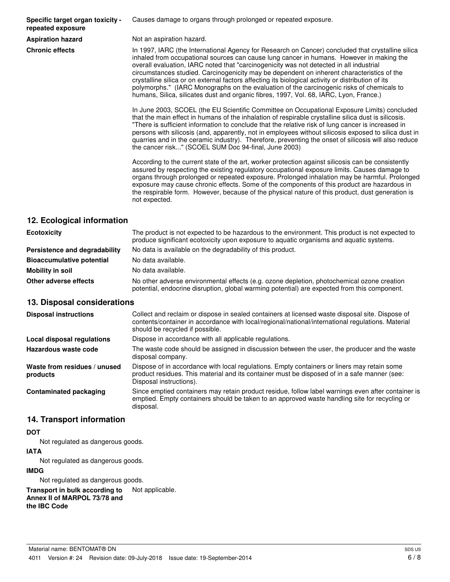**Specific target organ toxicity repeated exposure**

Causes damage to organs through prolonged or repeated exposure.

**Aspiration hazard** Not an aspiration hazard.

**Chronic effects** In 1997, IARC (the International Agency for Research on Cancer) concluded that crystalline silica inhaled from occupational sources can cause lung cancer in humans. However in making the overall evaluation, IARC noted that "carcinogenicity was not detected in all industrial circumstances studied. Carcinogenicity may be dependent on inherent characteristics of the crystalline silica or on external factors affecting its biological activity or distribution of its polymorphs." (IARC Monographs on the evaluation of the carcinogenic risks of chemicals to humans, Silica, silicates dust and organic fibres, 1997, Vol. 68, IARC, Lyon, France.)

> In June 2003, SCOEL (the EU Scientific Committee on Occupational Exposure Limits) concluded that the main effect in humans of the inhalation of respirable crystalline silica dust is silicosis. "There is sufficient information to conclude that the relative risk of lung cancer is increased in persons with silicosis (and, apparently, not in employees without silicosis exposed to silica dust in quarries and in the ceramic industry). Therefore, preventing the onset of silicosis will also reduce the cancer risk..." (SCOEL SUM Doc 94-final, June 2003)

> According to the current state of the art, worker protection against silicosis can be consistently assured by respecting the existing regulatory occupational exposure limits. Causes damage to organs through prolonged or repeated exposure. Prolonged inhalation may be harmful. Prolonged exposure may cause chronic effects. Some of the components of this product are hazardous in the respirable form. However, because of the physical nature of this product, dust generation is not expected.

#### **12. Ecological information**

| <b>Ecotoxicity</b>               | The product is not expected to be hazardous to the environment. This product is not expected to<br>produce significant ecotoxicity upon exposure to aquatic organisms and aquatic systems. |
|----------------------------------|--------------------------------------------------------------------------------------------------------------------------------------------------------------------------------------------|
| Persistence and degradability    | No data is available on the degradability of this product.                                                                                                                                 |
| <b>Bioaccumulative potential</b> | No data available.                                                                                                                                                                         |
| Mobility in soil                 | No data available.                                                                                                                                                                         |
| Other adverse effects            | No other adverse environmental effects (e.g. ozone depletion, photochemical ozone creation<br>potential, endocrine disruption, global warming potential) are expected from this component. |

#### **13. Disposal considerations**

| <b>Disposal instructions</b>             | Collect and reclaim or dispose in sealed containers at licensed waste disposal site. Dispose of<br>contents/container in accordance with local/regional/national/international regulations. Material<br>should be recycled if possible. |
|------------------------------------------|-----------------------------------------------------------------------------------------------------------------------------------------------------------------------------------------------------------------------------------------|
| Local disposal regulations               | Dispose in accordance with all applicable regulations.                                                                                                                                                                                  |
| Hazardous waste code                     | The waste code should be assigned in discussion between the user, the producer and the waste<br>disposal company.                                                                                                                       |
| Waste from residues / unused<br>products | Dispose of in accordance with local regulations. Empty containers or liners may retain some<br>product residues. This material and its container must be disposed of in a safe manner (see:<br>Disposal instructions).                  |
| <b>Contaminated packaging</b>            | Since emptied containers may retain product residue, follow label warnings even after container is<br>emptied. Empty containers should be taken to an approved waste handling site for recycling or<br>disposal.                        |

#### **14. Transport information**

#### **DOT**

Not regulated as dangerous goods.

#### **IATA**

Not regulated as dangerous goods.

#### **IMDG**

Not regulated as dangerous goods.

**Transport in bulk according to** Not applicable. **Annex II of MARPOL 73/78 and the IBC Code**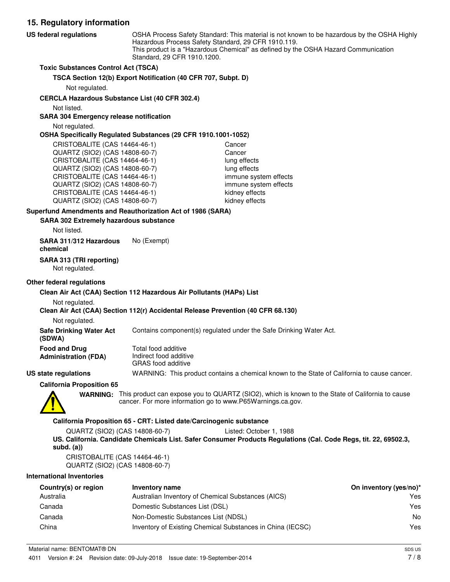**15. Regulatory information** OSHA Process Safety Standard: This material is not known to be hazardous by the OSHA Highly Hazardous Process Safety Standard, 29 CFR 1910.119. This product is a "Hazardous Chemical" as defined by the OSHA Hazard Communication Standard, 29 CFR 1910.1200. **US federal regulations Toxic Substances Control Act (TSCA) TSCA Section 12(b) Export Notification (40 CFR 707, Subpt. D)** Not regulated. **CERCLA Hazardous Substance List (40 CFR 302.4)** Not listed. **SARA 304 Emergency release notification** Not regulated. **OSHA Specifically Regulated Substances (29 CFR 1910.1001-1052)** CRISTOBALITE (CAS 14464-46-1) Cancer QUARTZ (SIO2) (CAS 14808-60-7) Cancer CRISTOBALITE (CAS 14464-46-1) lung effects QUARTZ (SIO2) (CAS 14808-60-7) lung effects CRISTOBALITE (CAS 14464-46-1) immune system effects QUARTZ (SIO2) (CAS 14808-60-7) immune system effects CRISTOBALITE (CAS 14464-46-1) kidney effects QUARTZ (SIO2) (CAS 14808-60-7) kidney effects **SARA 302 Extremely hazardous substance Superfund Amendments and Reauthorization Act of 1986 (SARA)** Not listed. **SARA 311/312 Hazardous** No (Exempt) **chemical**

**SARA 313 (TRI reporting)**

Not regulated.

#### **Other federal regulations**

#### **Clean Air Act (CAA) Section 112 Hazardous Air Pollutants (HAPs) List**

Not regulated.

#### **Clean Air Act (CAA) Section 112(r) Accidental Release Prevention (40 CFR 68.130)**

Not regulated.

**Safe Drinking Water Act** Contains component(s) regulated under the Safe Drinking Water Act.

| Food and Drug               |  |
|-----------------------------|--|
| <b>Administration (FDA)</b> |  |

Total food additive Indirect food additive GRAS food additive

**US state regulations** WARNING: This product contains a chemical known to the State of California to cause cancer.

**California Proposition 65**



**(SDWA)**

WARNING: This product can expose you to QUARTZ (SIO2), which is known to the State of California to cause cancer. For more information go to www.P65Warnings.ca.gov.

#### **California Proposition 65 - CRT: Listed date/Carcinogenic substance**

QUARTZ (SIO2) (CAS 14808-60-7) Listed: October 1, 1988 **US. California. Candidate Chemicals List. Safer Consumer Products Regulations (Cal. Code Regs, tit. 22, 69502.3, subd. (a))**

CRISTOBALITE (CAS 14464-46-1) QUARTZ (SIO2) (CAS 14808-60-7)

#### **International Inventories**

| Country(s) or region | Inventory name                                             | On inventory (yes/no)* |
|----------------------|------------------------------------------------------------|------------------------|
| Australia            | Australian Inventory of Chemical Substances (AICS)         | Yes                    |
| Canada               | Domestic Substances List (DSL)                             | Yes                    |
| Canada               | Non-Domestic Substances List (NDSL)                        | No                     |
| China                | Inventory of Existing Chemical Substances in China (IECSC) | Yes                    |